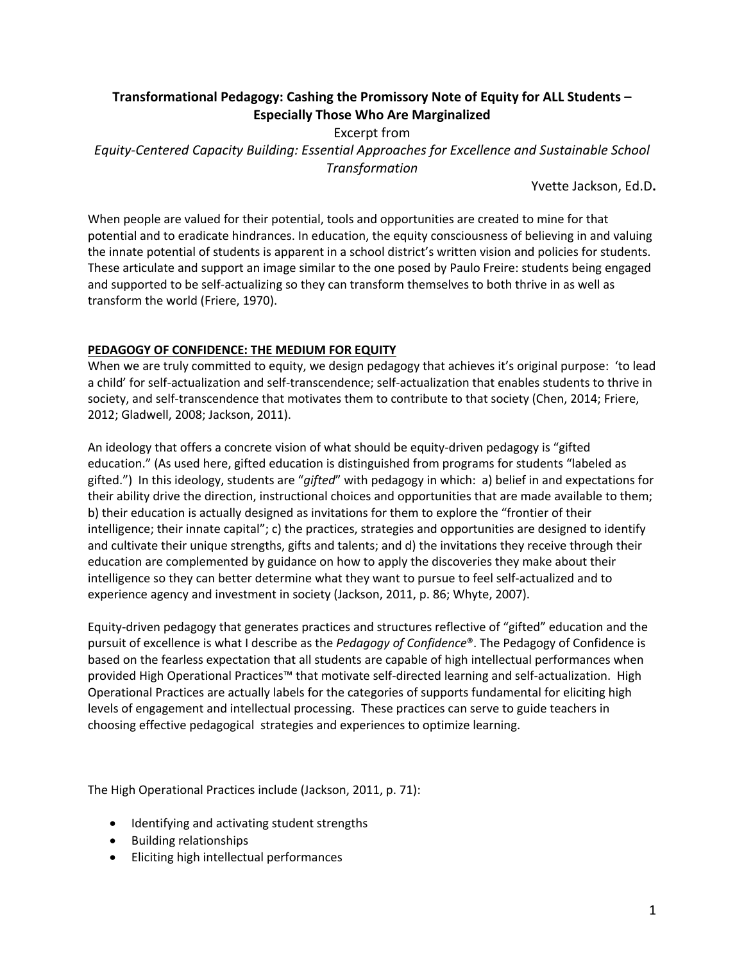## **Transformational Pedagogy: Cashing the Promissory Note of Equity for ALL Students – Especially Those Who Are Marginalized**

Excerpt from *Equity-Centered Capacity Building: Essential Approaches for Excellence and Sustainable School Transformation*

Yvette Jackson, Ed.D**.**

When people are valued for their potential, tools and opportunities are created to mine for that potential and to eradicate hindrances. In education, the equity consciousness of believing in and valuing the innate potential of students is apparent in a school district's written vision and policies for students. These articulate and support an image similar to the one posed by Paulo Freire: students being engaged and supported to be self-actualizing so they can transform themselves to both thrive in as well as transform the world (Friere, 1970).

## **PEDAGOGY OF CONFIDENCE: THE MEDIUM FOR EQUITY**

When we are truly committed to equity, we design pedagogy that achieves it's original purpose: 'to lead a child' for self-actualization and self-transcendence; self-actualization that enables students to thrive in society, and self-transcendence that motivates them to contribute to that society (Chen, 2014; Friere, 2012; Gladwell, 2008; Jackson, 2011).

An ideology that offers a concrete vision of what should be equity-driven pedagogy is "gifted education." (As used here, gifted education is distinguished from programs for students "labeled as gifted.") In this ideology, students are "*gifted*" with pedagogy in which: a) belief in and expectations for their ability drive the direction, instructional choices and opportunities that are made available to them; b) their education is actually designed as invitations for them to explore the "frontier of their intelligence; their innate capital"; c) the practices, strategies and opportunities are designed to identify and cultivate their unique strengths, gifts and talents; and d) the invitations they receive through their education are complemented by guidance on how to apply the discoveries they make about their intelligence so they can better determine what they want to pursue to feel self-actualized and to experience agency and investment in society (Jackson, 2011, p. 86; Whyte, 2007).

Equity-driven pedagogy that generates practices and structures reflective of "gifted" education and the pursuit of excellence is what I describe as the *Pedagogy of Confidence*®. The Pedagogy of Confidence is based on the fearless expectation that all students are capable of high intellectual performances when provided High Operational Practices™ that motivate self-directed learning and self-actualization. High Operational Practices are actually labels for the categories of supports fundamental for eliciting high levels of engagement and intellectual processing. These practices can serve to guide teachers in choosing effective pedagogical strategies and experiences to optimize learning.

The High Operational Practices include (Jackson, 2011, p. 71):

- Identifying and activating student strengths
- Building relationships
- Eliciting high intellectual performances